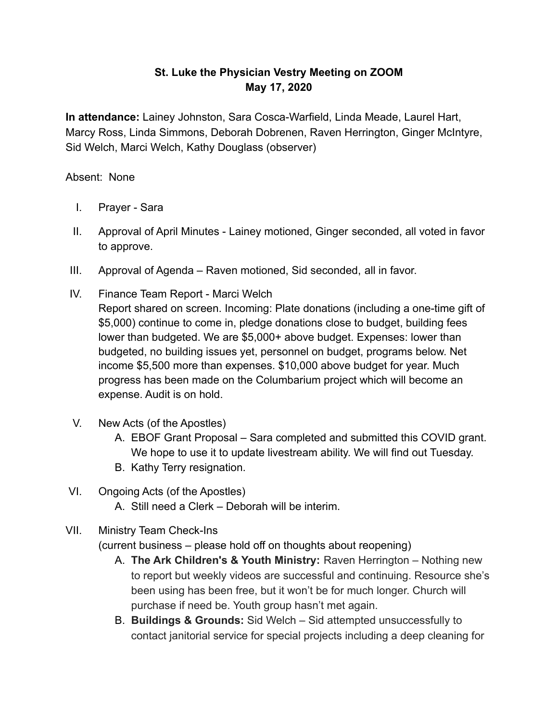## **St. Luke the Physician Vestry Meeting on ZOOM May 17, 2020**

**In attendance:** Lainey Johnston, Sara Cosca-Warfield, Linda Meade, Laurel Hart, Marcy Ross, Linda Simmons, Deborah Dobrenen, Raven Herrington, Ginger McIntyre, Sid Welch, Marci Welch, Kathy Douglass (observer)

## Absent: None

- I. Prayer Sara
- II. Approval of April Minutes Lainey motioned, Ginger seconded, all voted in favor to approve.
- III. Approval of Agenda Raven motioned, Sid seconded, all in favor.
- IV. Finance Team Report Marci Welch Report shared on screen. Incoming: Plate donations (including a one-time gift of \$5,000) continue to come in, pledge donations close to budget, building fees lower than budgeted. We are \$5,000+ above budget. Expenses: lower than budgeted, no building issues yet, personnel on budget, programs below. Net income \$5,500 more than expenses. \$10,000 above budget for year. Much progress has been made on the Columbarium project which will become an expense. Audit is on hold.
- V. New Acts (of the Apostles)
	- A. EBOF Grant Proposal Sara completed and submitted this COVID grant. We hope to use it to update livestream ability. We will find out Tuesday.
	- B. Kathy Terry resignation.

## VI. Ongoing Acts (of the Apostles)

A. Still need a Clerk – Deborah will be interim.

## VII. Ministry Team Check-Ins

(current business – please hold off on thoughts about reopening)

- A. **The Ark Children's & Youth Ministry:** Raven Herrington Nothing new to report but weekly videos are successful and continuing. Resource she's been using has been free, but it won't be for much longer. Church will purchase if need be. Youth group hasn't met again.
- B. **Buildings & Grounds:** Sid Welch Sid attempted unsuccessfully to contact janitorial service for special projects including a deep cleaning for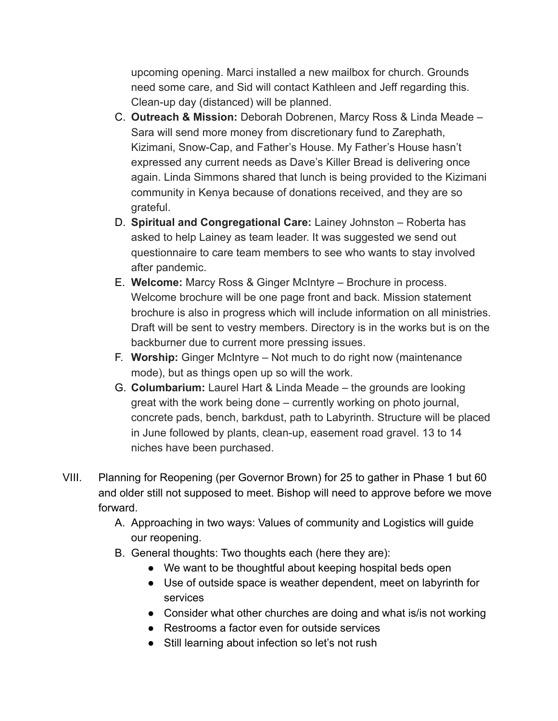upcoming opening. Marci installed a new mailbox for church. Grounds need some care, and Sid will contact Kathleen and Jeff regarding this. Clean-up day (distanced) will be planned.

- C. **Outreach & Mission:** Deborah Dobrenen, Marcy Ross & Linda Meade Sara will send more money from discretionary fund to Zarephath, Kizimani, Snow-Cap, and Father's House. My Father's House hasn't expressed any current needs as Dave's Killer Bread is delivering once again. Linda Simmons shared that lunch is being provided to the Kizimani community in Kenya because of donations received, and they are so grateful.
- D. **Spiritual and Congregational Care:** Lainey Johnston Roberta has asked to help Lainey as team leader. It was suggested we send out questionnaire to care team members to see who wants to stay involved after pandemic.
- E. **Welcome:** Marcy Ross & Ginger McIntyre Brochure in process. Welcome brochure will be one page front and back. Mission statement brochure is also in progress which will include information on all ministries. Draft will be sent to vestry members. Directory is in the works but is on the backburner due to current more pressing issues.
- F. **Worship:** Ginger McIntyre Not much to do right now (maintenance mode), but as things open up so will the work.
- G. **Columbarium:** Laurel Hart & Linda Meade the grounds are looking great with the work being done – currently working on photo journal, concrete pads, bench, barkdust, path to Labyrinth. Structure will be placed in June followed by plants, clean-up, easement road gravel. 13 to 14 niches have been purchased.
- VIII. Planning for Reopening (per Governor Brown) for 25 to gather in Phase 1 but 60 and older still not supposed to meet. Bishop will need to approve before we move forward.
	- A. Approaching in two ways: Values of community and Logistics will guide our reopening.
	- B. General thoughts: Two thoughts each (here they are):
		- We want to be thoughtful about keeping hospital beds open
		- Use of outside space is weather dependent, meet on labyrinth for services
		- Consider what other churches are doing and what is/is not working
		- Restrooms a factor even for outside services
		- Still learning about infection so let's not rush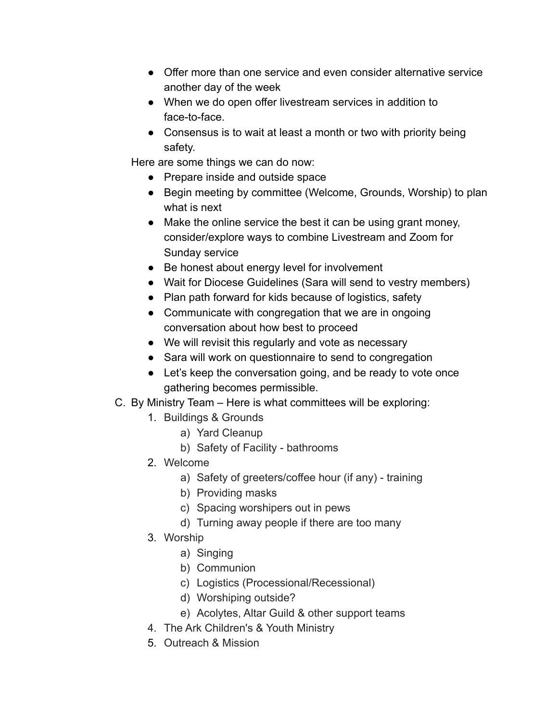- Offer more than one service and even consider alternative service another day of the week
- When we do open offer livestream services in addition to face-to-face.
- Consensus is to wait at least a month or two with priority being safety.

Here are some things we can do now:

- Prepare inside and outside space
- Begin meeting by committee (Welcome, Grounds, Worship) to plan what is next
- Make the online service the best it can be using grant money, consider/explore ways to combine Livestream and Zoom for Sunday service
- Be honest about energy level for involvement
- Wait for Diocese Guidelines (Sara will send to vestry members)
- Plan path forward for kids because of logistics, safety
- Communicate with congregation that we are in ongoing conversation about how best to proceed
- We will revisit this regularly and vote as necessary
- Sara will work on questionnaire to send to congregation
- Let's keep the conversation going, and be ready to vote once gathering becomes permissible.
- C. By Ministry Team Here is what committees will be exploring:
	- 1. Buildings & Grounds
		- a) Yard Cleanup
		- b) Safety of Facility bathrooms
	- 2. Welcome
		- a) Safety of greeters/coffee hour (if any) training
		- b) Providing masks
		- c) Spacing worshipers out in pews
		- d) Turning away people if there are too many
	- 3. Worship
		- a) Singing
		- b) Communion
		- c) Logistics (Processional/Recessional)
		- d) Worshiping outside?
		- e) Acolytes, Altar Guild & other support teams
	- 4. The Ark Children's & Youth Ministry
	- 5. Outreach & Mission